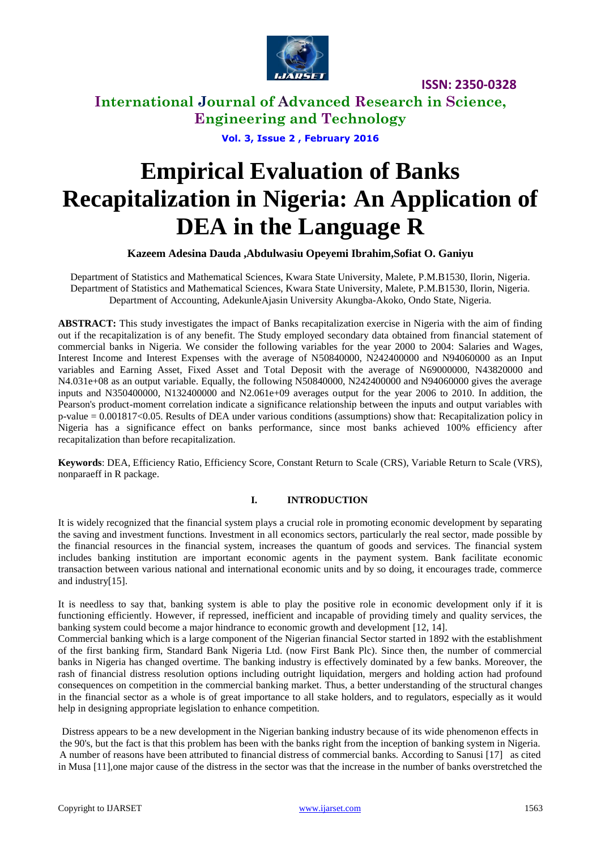

**International Journal of Advanced Research in Science, Engineering and Technology**

**Vol. 3, Issue 2 , February 2016**

# **Empirical Evaluation of Banks Recapitalization in Nigeria: An Application of DEA in the Language R**

**Kazeem Adesina Dauda ,Abdulwasiu Opeyemi Ibrahim,Sofiat O. Ganiyu**

Department of Statistics and Mathematical Sciences, Kwara State University, Malete, P.M.B1530, Ilorin, Nigeria. Department of Statistics and Mathematical Sciences, Kwara State University, Malete, P.M.B1530, Ilorin, Nigeria. Department of Accounting, AdekunleAjasin University Akungba-Akoko, Ondo State, Nigeria.

**ABSTRACT:** This study investigates the impact of Banks recapitalization exercise in Nigeria with the aim of finding out if the recapitalization is of any benefit. The Study employed secondary data obtained from financial statement of commercial banks in Nigeria. We consider the following variables for the year 2000 to 2004: Salaries and Wages, Interest Income and Interest Expenses with the average of N50840000, N242400000 and N94060000 as an Input variables and Earning Asset, Fixed Asset and Total Deposit with the average of N69000000, N43820000 and N4.031e+08 as an output variable. Equally, the following N50840000, N242400000 and N94060000 gives the average inputs and N350400000, N132400000 and N2.061e+09 averages output for the year 2006 to 2010. In addition, the Pearson's product-moment correlation indicate a significance relationship between the inputs and output variables with p-value = 0.001817<0.05. Results of DEA under various conditions (assumptions) show that: Recapitalization policy in Nigeria has a significance effect on banks performance, since most banks achieved 100% efficiency after recapitalization than before recapitalization.

**Keywords**: DEA, Efficiency Ratio, Efficiency Score, Constant Return to Scale (CRS), Variable Return to Scale (VRS), nonparaeff in R package.

# **I. INTRODUCTION**

It is widely recognized that the financial system plays a crucial role in promoting economic development by separating the saving and investment functions. Investment in all economics sectors, particularly the real sector, made possible by the financial resources in the financial system, increases the quantum of goods and services. The financial system includes banking institution are important economic agents in the payment system. Bank facilitate economic transaction between various national and international economic units and by so doing, it encourages trade, commerce and industry[15].

It is needless to say that, banking system is able to play the positive role in economic development only if it is functioning efficiently. However, if repressed, inefficient and incapable of providing timely and quality services, the banking system could become a major hindrance to economic growth and development [12, 14].

Commercial banking which is a large component of the Nigerian financial Sector started in 1892 with the establishment of the first banking firm, Standard Bank Nigeria Ltd. (now First Bank Plc). Since then, the number of commercial banks in Nigeria has changed overtime. The banking industry is effectively dominated by a few banks. Moreover, the rash of financial distress resolution options including outright liquidation, mergers and holding action had profound consequences on competition in the commercial banking market. Thus, a better understanding of the structural changes in the financial sector as a whole is of great importance to all stake holders, and to regulators, especially as it would help in designing appropriate legislation to enhance competition.

Distress appears to be a new development in the Nigerian banking industry because of its wide phenomenon effects in the 90's, but the fact is that this problem has been with the banks right from the inception of banking system in Nigeria. A number of reasons have been attributed to financial distress of commercial banks. According to Sanusi [17] as cited in Musa [11],one major cause of the distress in the sector was that the increase in the number of banks overstretched the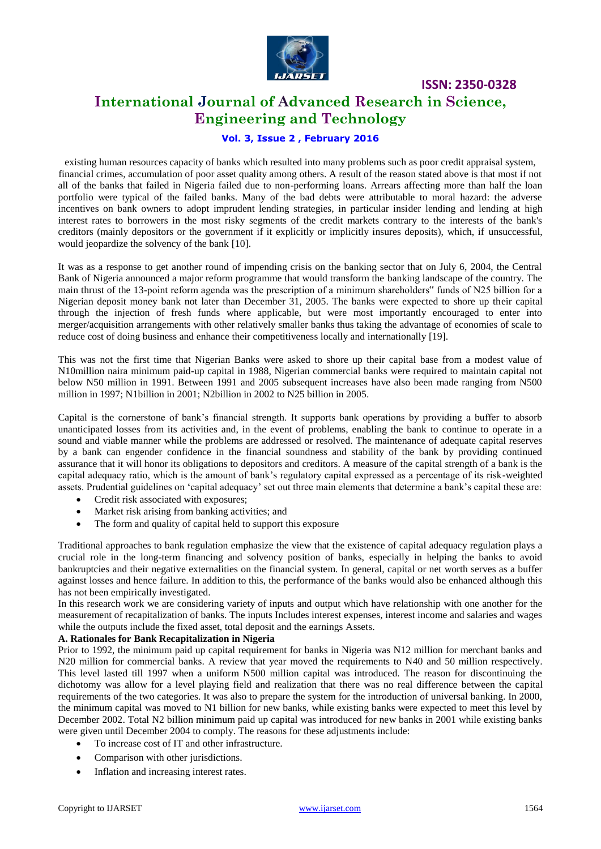

# **International Journal of Advanced Research in Science, Engineering and Technology**

# **Vol. 3, Issue 2 , February 2016**

existing human resources capacity of banks which resulted into many problems such as poor credit appraisal system, financial crimes, accumulation of poor asset quality among others. A result of the reason stated above is that most if not all of the banks that failed in Nigeria failed due to non-performing loans. Arrears affecting more than half the loan portfolio were typical of the failed banks. Many of the bad debts were attributable to moral hazard: the adverse incentives on bank owners to adopt imprudent lending strategies, in particular insider lending and lending at high interest rates to borrowers in the most risky segments of the credit markets contrary to the interests of the bank's creditors (mainly depositors or the government if it explicitly or implicitly insures deposits), which, if unsuccessful, would jeopardize the solvency of the bank [10].

It was as a response to get another round of impending crisis on the banking sector that on July 6, 2004, the Central Bank of Nigeria announced a major reform programme that would transform the banking landscape of the country. The main thrust of the 13-point reform agenda was the prescription of a minimum shareholders" funds of N25 billion for a Nigerian deposit money bank not later than December 31, 2005. The banks were expected to shore up their capital through the injection of fresh funds where applicable, but were most importantly encouraged to enter into merger/acquisition arrangements with other relatively smaller banks thus taking the advantage of economies of scale to reduce cost of doing business and enhance their competitiveness locally and internationally [19].

This was not the first time that Nigerian Banks were asked to shore up their capital base from a modest value of N10million naira minimum paid-up capital in 1988, Nigerian commercial banks were required to maintain capital not below N50 million in 1991. Between 1991 and 2005 subsequent increases have also been made ranging from N500 million in 1997; N1billion in 2001; N2billion in 2002 to N25 billion in 2005.

Capital is the cornerstone of bank"s financial strength. It supports bank operations by providing a buffer to absorb unanticipated losses from its activities and, in the event of problems, enabling the bank to continue to operate in a sound and viable manner while the problems are addressed or resolved. The maintenance of adequate capital reserves by a bank can engender confidence in the financial soundness and stability of the bank by providing continued assurance that it will honor its obligations to depositors and creditors. A measure of the capital strength of a bank is the capital adequacy ratio, which is the amount of bank"s regulatory capital expressed as a percentage of its risk-weighted assets. Prudential guidelines on "capital adequacy" set out three main elements that determine a bank"s capital these are:

- Credit risk associated with exposures;
- Market risk arising from banking activities; and
- The form and quality of capital held to support this exposure

Traditional approaches to bank regulation emphasize the view that the existence of capital adequacy regulation plays a crucial role in the long-term financing and solvency position of banks, especially in helping the banks to avoid bankruptcies and their negative externalities on the financial system. In general, capital or net worth serves as a buffer against losses and hence failure. In addition to this, the performance of the banks would also be enhanced although this has not been empirically investigated.

In this research work we are considering variety of inputs and output which have relationship with one another for the measurement of recapitalization of banks. The inputs Includes interest expenses, interest income and salaries and wages while the outputs include the fixed asset, total deposit and the earnings Assets.

### **A. Rationales for Bank Recapitalization in Nigeria**

Prior to 1992, the minimum paid up capital requirement for banks in Nigeria was N12 million for merchant banks and N20 million for commercial banks. A review that year moved the requirements to N40 and 50 million respectively. This level lasted till 1997 when a uniform N500 million capital was introduced. The reason for discontinuing the dichotomy was allow for a level playing field and realization that there was no real difference between the capital requirements of the two categories. It was also to prepare the system for the introduction of universal banking. In 2000, the minimum capital was moved to N1 billion for new banks, while existing banks were expected to meet this level by December 2002. Total N2 billion minimum paid up capital was introduced for new banks in 2001 while existing banks were given until December 2004 to comply. The reasons for these adjustments include:

- To increase cost of IT and other infrastructure.
- Comparison with other jurisdictions.
- Inflation and increasing interest rates.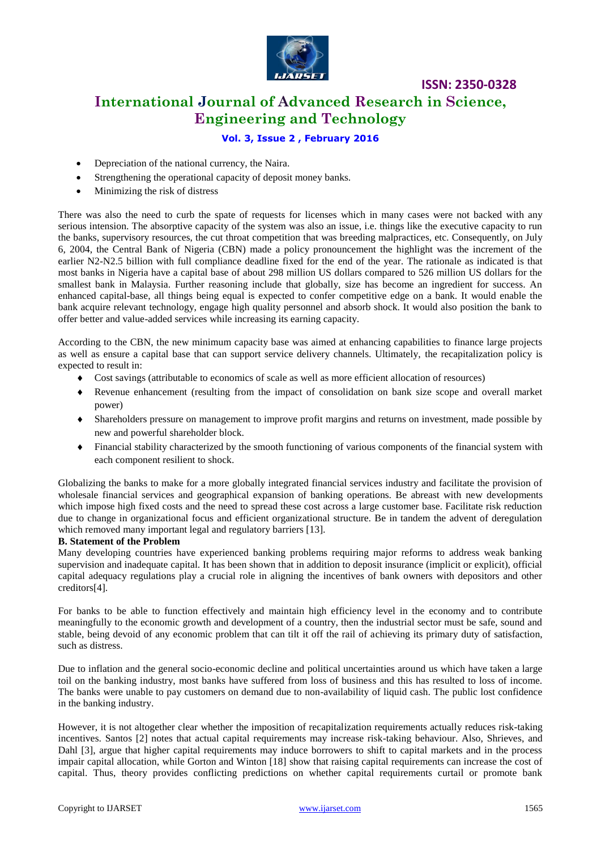

# **International Journal of Advanced Research in Science, Engineering and Technology**

**ISSN: 2350-0328**

# **Vol. 3, Issue 2 , February 2016**

- Depreciation of the national currency, the Naira.
- Strengthening the operational capacity of deposit money banks.
- Minimizing the risk of distress

There was also the need to curb the spate of requests for licenses which in many cases were not backed with any serious intension. The absorptive capacity of the system was also an issue, i.e. things like the executive capacity to run the banks, supervisory resources, the cut throat competition that was breeding malpractices, etc. Consequently, on July 6, 2004, the Central Bank of Nigeria (CBN) made a policy pronouncement the highlight was the increment of the earlier N2-N2.5 billion with full compliance deadline fixed for the end of the year. The rationale as indicated is that most banks in Nigeria have a capital base of about 298 million US dollars compared to 526 million US dollars for the smallest bank in Malaysia. Further reasoning include that globally, size has become an ingredient for success. An enhanced capital-base, all things being equal is expected to confer competitive edge on a bank. It would enable the bank acquire relevant technology, engage high quality personnel and absorb shock. It would also position the bank to offer better and value-added services while increasing its earning capacity.

According to the CBN, the new minimum capacity base was aimed at enhancing capabilities to finance large projects as well as ensure a capital base that can support service delivery channels. Ultimately, the recapitalization policy is expected to result in:

- Cost savings (attributable to economics of scale as well as more efficient allocation of resources)
- Revenue enhancement (resulting from the impact of consolidation on bank size scope and overall market power)
- Shareholders pressure on management to improve profit margins and returns on investment, made possible by new and powerful shareholder block.
- Financial stability characterized by the smooth functioning of various components of the financial system with each component resilient to shock.

Globalizing the banks to make for a more globally integrated financial services industry and facilitate the provision of wholesale financial services and geographical expansion of banking operations. Be abreast with new developments which impose high fixed costs and the need to spread these cost across a large customer base. Facilitate risk reduction due to change in organizational focus and efficient organizational structure. Be in tandem the advent of deregulation which removed many important legal and regulatory barriers [13].

#### **B. Statement of the Problem**

Many developing countries have experienced banking problems requiring major reforms to address weak banking supervision and inadequate capital. It has been shown that in addition to deposit insurance (implicit or explicit), official capital adequacy regulations play a crucial role in aligning the incentives of bank owners with depositors and other creditors[4].

For banks to be able to function effectively and maintain high efficiency level in the economy and to contribute meaningfully to the economic growth and development of a country, then the industrial sector must be safe, sound and stable, being devoid of any economic problem that can tilt it off the rail of achieving its primary duty of satisfaction, such as distress.

Due to inflation and the general socio-economic decline and political uncertainties around us which have taken a large toil on the banking industry, most banks have suffered from loss of business and this has resulted to loss of income. The banks were unable to pay customers on demand due to non-availability of liquid cash. The public lost confidence in the banking industry.

However, it is not altogether clear whether the imposition of recapitalization requirements actually reduces risk-taking incentives. Santos [2] notes that actual capital requirements may increase risk-taking behaviour. Also, Shrieves, and Dahl [3], argue that higher capital requirements may induce borrowers to shift to capital markets and in the process impair capital allocation, while Gorton and Winton [18] show that raising capital requirements can increase the cost of capital. Thus, theory provides conflicting predictions on whether capital requirements curtail or promote bank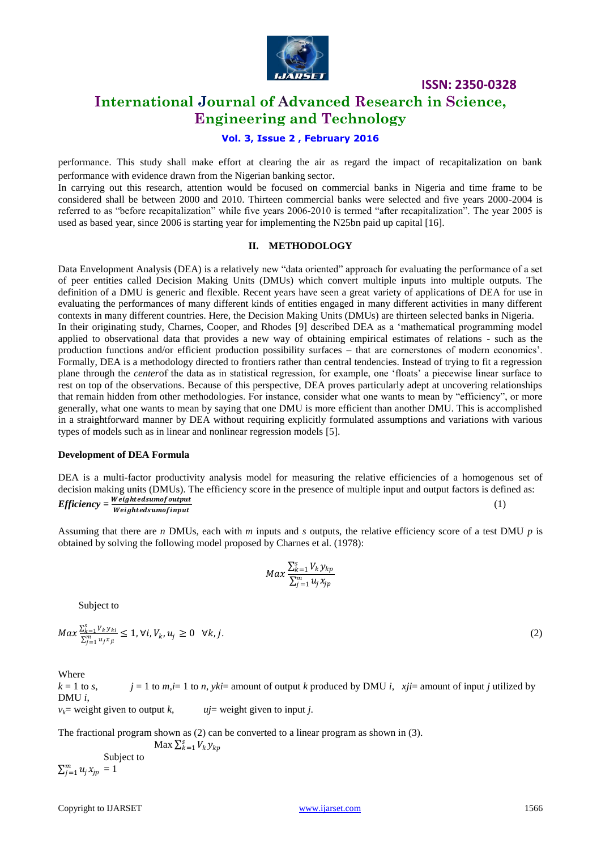

# **International Journal of Advanced Research in Science, Engineering and Technology**

# **Vol. 3, Issue 2 , February 2016**

performance. This study shall make effort at clearing the air as regard the impact of recapitalization on bank performance with evidence drawn from the Nigerian banking sector.

In carrying out this research, attention would be focused on commercial banks in Nigeria and time frame to be considered shall be between 2000 and 2010. Thirteen commercial banks were selected and five years 2000-2004 is referred to as "before recapitalization" while five years 2006-2010 is termed "after recapitalization". The year 2005 is used as based year, since 2006 is starting year for implementing the N25bn paid up capital [16].

### **II. METHODOLOGY**

Data Envelopment Analysis (DEA) is a relatively new "data oriented" approach for evaluating the performance of a set of peer entities called Decision Making Units (DMUs) which convert multiple inputs into multiple outputs. The definition of a DMU is generic and flexible. Recent years have seen a great variety of applications of DEA for use in evaluating the performances of many different kinds of entities engaged in many different activities in many different contexts in many different countries. Here, the Decision Making Units (DMUs) are thirteen selected banks in Nigeria. In their originating study, Charnes, Cooper, and Rhodes [9] described DEA as a "mathematical programming model applied to observational data that provides a new way of obtaining empirical estimates of relations - such as the production functions and/or efficient production possibility surfaces – that are cornerstones of modern economics". Formally, DEA is a methodology directed to frontiers rather than central tendencies. Instead of trying to fit a regression plane through the *center*of the data as in statistical regression, for example, one "floats" a piecewise linear surface to rest on top of the observations. Because of this perspective, DEA proves particularly adept at uncovering relationships that remain hidden from other methodologies. For instance, consider what one wants to mean by "efficiency", or more generally, what one wants to mean by saying that one DMU is more efficient than another DMU. This is accomplished in a straightforward manner by DEA without requiring explicitly formulated assumptions and variations with various types of models such as in linear and nonlinear regression models [5].

#### **Development of DEA Formula**

DEA is a multi-factor productivity analysis model for measuring the relative efficiencies of a homogenous set of decision making units (DMUs). The efficiency score in the presence of multiple input and output factors is defined as: *Efficiency =*  (1)

Assuming that there are *n* DMUs, each with *m* inputs and *s* outputs, the relative efficiency score of a test DMU *p* is obtained by solving the following model proposed by Charnes et al. (1978):

$$
Max\frac{\sum_{k=1}^{S}V_ky_{kp}}{\sum_{j=1}^{m}u_jx_{jp}}
$$

Subject to

$$
Max \frac{\sum_{k=1}^{S} V_k y_{ki}}{\sum_{j=1}^{m} u_j x_{ji}} \le 1, \forall i, V_k, u_j \ge 0 \quad \forall k, j.
$$
 (2)

Where

 $k = 1$  to *s*,  $j = 1$  to *m*,  $i = 1$  to *n*,  $\forall k$  is amount of output *k* produced by DMU *i*,  $\exists i$  *xij* = amount of input *j* utilized by DMU *i*,  $v_k$ = weight given to output *k*,  $u_j$ = weight given to input *j*.

The fractional program shown as (2) can be converted to a linear program as shown in (3).

Max  $\sum_{k=1}^{s} V_k y_{kp}$  Subject to  $\sum_{j=1}^m u_j x_{jp} = 1$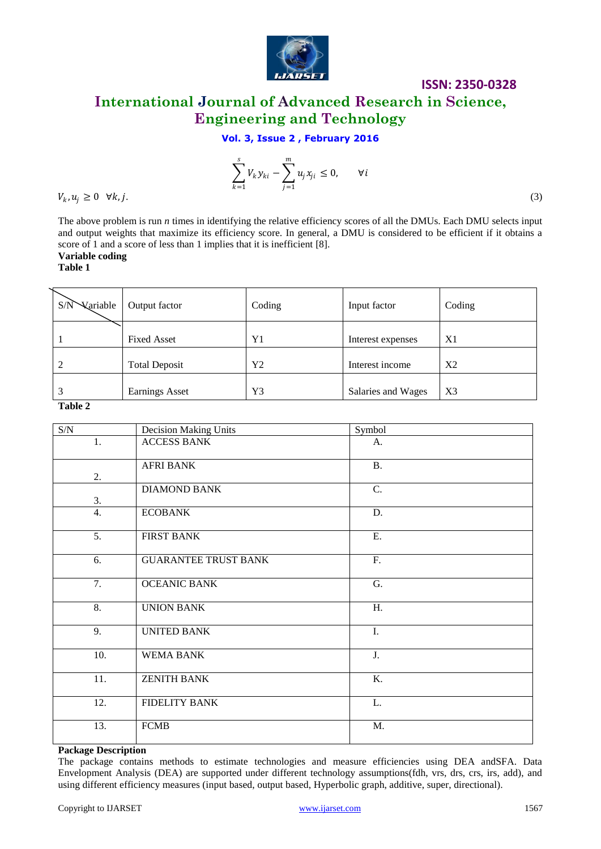

# **ISSN: 2350-0328 International Journal of Advanced Research in Science, Engineering and Technology**

**Vol. 3, Issue 2 , February 2016**

$$
\sum_{k=1}^{s} V_k y_{ki} - \sum_{j=1}^{m} u_j x_{ji} \le 0, \qquad \forall i
$$

 $V_k, u_j \geq 0 \quad \forall k, j.$  (3)

The above problem is run *n* times in identifying the relative efficiency scores of all the DMUs. Each DMU selects input and output weights that maximize its efficiency score. In general, a DMU is considered to be efficient if it obtains a score of 1 and a score of less than 1 implies that it is inefficient [8]. **Variable coding**

**Table 1**

S/N Variable Output factor | Coding | Input factor | Coding 1 Fixed Asset Y1 Interest expenses X1 2 Total Deposit  $\begin{array}{|c|c|c|c|c|c|c|c|c|} \hline \end{array}$  Total Deposit  $\begin{array}{|c|c|c|c|c|c|c|c|c|c|c|} \hline \end{array}$  Total Deposit 3 Earnings Asset | Y3 | Salaries and Wages | X3

**Table 2**

| $\ensuremath{\mathrm{S/N}}$ | <b>Decision Making Units</b> | Symbol           |  |  |  |
|-----------------------------|------------------------------|------------------|--|--|--|
| 1.                          | <b>ACCESS BANK</b>           | A.               |  |  |  |
|                             | <b>AFRI BANK</b>             | <b>B.</b>        |  |  |  |
| 2.                          |                              |                  |  |  |  |
|                             | <b>DIAMOND BANK</b>          | C.               |  |  |  |
| 3.                          |                              |                  |  |  |  |
| 4.                          | <b>ECOBANK</b>               | D.               |  |  |  |
| $\overline{5}$ .            | <b>FIRST BANK</b>            | E.               |  |  |  |
| 6.                          | <b>GUARANTEE TRUST BANK</b>  | ${\bf F}.$       |  |  |  |
| 7.                          | <b>OCEANIC BANK</b>          | G.               |  |  |  |
| $\overline{8}$ .            | <b>UNION BANK</b>            | H.               |  |  |  |
| 9.                          | <b>UNITED BANK</b>           | I.               |  |  |  |
| 10.                         | <b>WEMA BANK</b>             | J.               |  |  |  |
| 11.                         | <b>ZENITH BANK</b>           | $\overline{K}$ . |  |  |  |
| 12.                         | <b>FIDELITY BANK</b>         | L.               |  |  |  |
| 13.                         | <b>FCMB</b>                  | M.               |  |  |  |

## **Package Description**

The package contains methods to estimate technologies and measure efficiencies using DEA andSFA. Data Envelopment Analysis (DEA) are supported under different technology assumptions(fdh, vrs, drs, crs, irs, add), and using different efficiency measures (input based, output based, Hyperbolic graph, additive, super, directional).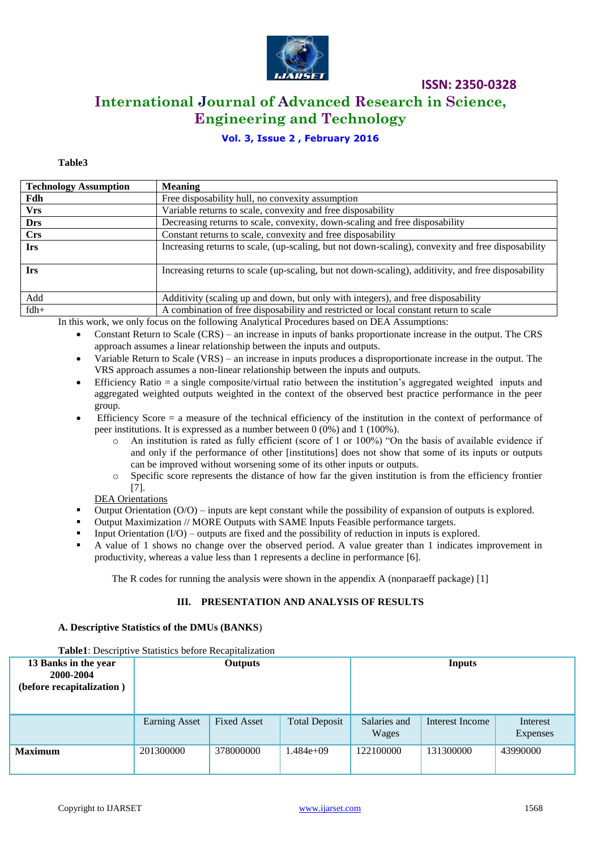

# **International Journal of Advanced Research in Science, Engineering and Technology**

# **Vol. 3, Issue 2 , February 2016**

### **Table3**

| <b>Technology Assumption</b> | <b>Meaning</b>                                                                                     |
|------------------------------|----------------------------------------------------------------------------------------------------|
| Fdh                          | Free disposability hull, no convexity assumption                                                   |
| <b>Vrs</b>                   | Variable returns to scale, convexity and free disposability                                        |
| <b>Drs</b>                   | Decreasing returns to scale, convexity, down-scaling and free disposability                        |
| Crs                          | Constant returns to scale, convexity and free disposability                                        |
| <b>Irs</b>                   | Increasing returns to scale, (up-scaling, but not down-scaling), convexity and free disposability  |
| <b>Irs</b>                   | Increasing returns to scale (up-scaling, but not down-scaling), additivity, and free disposability |
| Add                          | Additivity (scaling up and down, but only with integers), and free disposability                   |
| $fdh+$                       | A combination of free disposability and restricted or local constant return to scale               |

In this work, we only focus on the following Analytical Procedures based on DEA Assumptions:

- Constant Return to Scale (CRS) an increase in inputs of banks proportionate increase in the output. The CRS approach assumes a linear relationship between the inputs and outputs.
- Variable Return to Scale (VRS) an increase in inputs produces a disproportionate increase in the output. The VRS approach assumes a non-linear relationship between the inputs and outputs.
- Efficiency Ratio  $=$  a single composite/virtual ratio between the institution's aggregated weighted inputs and aggregated weighted outputs weighted in the context of the observed best practice performance in the peer group.
- Efficiency Score = a measure of the technical efficiency of the institution in the context of performance of peer institutions. It is expressed as a number between 0 (0%) and 1 (100%).
	- o An institution is rated as fully efficient (score of 1 or 100%) "On the basis of available evidence if and only if the performance of other [institutions] does not show that some of its inputs or outputs can be improved without worsening some of its other inputs or outputs.
	- o Specific score represents the distance of how far the given institution is from the efficiency frontier [7].

DEA Orientations

- Output Orientation (O/O) inputs are kept constant while the possibility of expansion of outputs is explored.
- Output Maximization // MORE Outputs with SAME Inputs Feasible performance targets.
- Input Orientation (I/O) outputs are fixed and the possibility of reduction in inputs is explored.
- A value of 1 shows no change over the observed period. A value greater than 1 indicates improvement in productivity, whereas a value less than 1 represents a decline in performance [6].

The R codes for running the analysis were shown in the appendix A (nonparaeff package) [1]

### **III. PRESENTATION AND ANALYSIS OF RESULTS**

#### **A. Descriptive Statistics of the DMUs (BANKS**)

**Table1**: Descriptive Statistics before Recapitalization

| 13 Banks in the year<br>2000-2004<br>(before recapitalization) | <b>Outputs</b>       |                    |                      | <b>Inputs</b>         |                 |                             |
|----------------------------------------------------------------|----------------------|--------------------|----------------------|-----------------------|-----------------|-----------------------------|
|                                                                | <b>Earning Asset</b> | <b>Fixed Asset</b> | <b>Total Deposit</b> | Salaries and<br>Wages | Interest Income | Interest<br><b>Expenses</b> |
| <b>Maximum</b>                                                 | 201300000            | 378000000          | $1.484e+09$          | 122100000             | 131300000       | 43990000                    |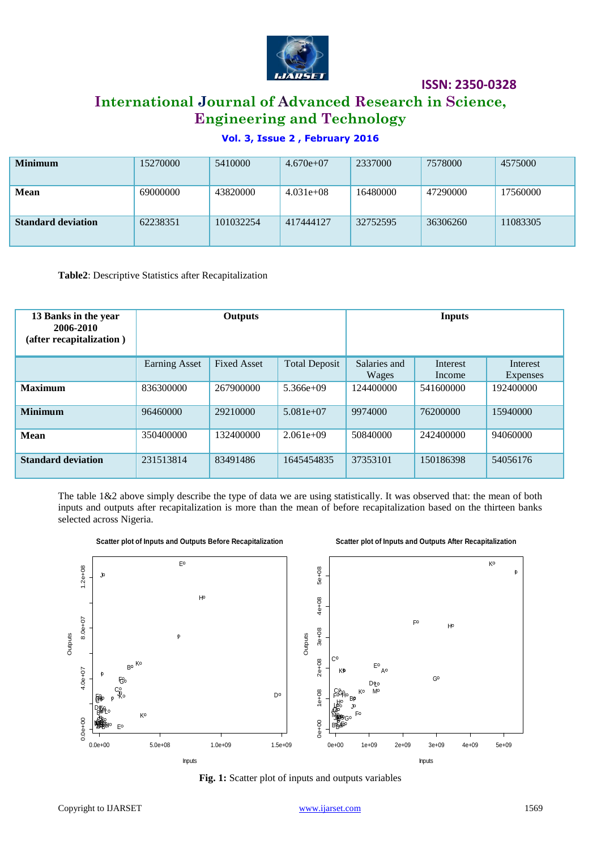

# **International Journal of Advanced Research in Science, Engineering and Technology**

# **Vol. 3, Issue 2 , February 2016**

| <b>Minimum</b>            | 15270000 | 5410000   | $4.670e+07$ | 2337000  | 7578000  | 4575000  |
|---------------------------|----------|-----------|-------------|----------|----------|----------|
| <b>Mean</b>               | 69000000 | 43820000  | $4.031e+08$ | 16480000 | 47290000 | 17560000 |
| <b>Standard deviation</b> | 62238351 | 101032254 | 417444127   | 32752595 | 36306260 | 11083305 |

**Table2**: Descriptive Statistics after Recapitalization

| 13 Banks in the year<br>2006-2010<br>(after recapitalization) | Outputs              |                    |                      |                       | <b>Inputs</b>      |                      |
|---------------------------------------------------------------|----------------------|--------------------|----------------------|-----------------------|--------------------|----------------------|
|                                                               | <b>Earning Asset</b> | <b>Fixed Asset</b> | <b>Total Deposit</b> | Salaries and<br>Wages | Interest<br>Income | Interest<br>Expenses |
| <b>Maximum</b>                                                | 836300000            | 267900000          | $5.366e+09$          | 124400000             | 541600000          | 192400000            |
| <b>Minimum</b>                                                | 96460000             | 29210000           | $5.081e+07$          | 9974000               | 76200000           | 15940000             |
| <b>Mean</b>                                                   | 350400000            | 132400000          | $2.061e+09$          | 50840000              | 242400000          | 94060000             |
| <b>Standard deviation</b>                                     | 231513814            | 83491486           | 1645454835           | 37353101              | 150186398          | 54056176             |

The table 1&2 above simply describe the type of data we are using statistically. It was observed that: the mean of both inputs and outputs after recapitalization is more than the mean of before recapitalization based on the thirteen banks selected across Nigeria.



**Fig. 1:** Scatter plot of inputs and outputs variables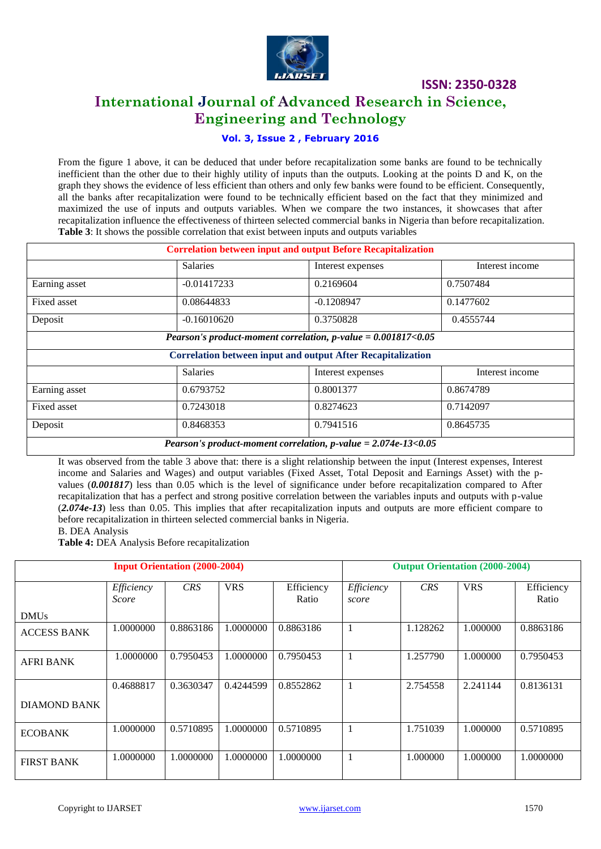

# **International Journal of Advanced Research in Science, Engineering and Technology**

# **Vol. 3, Issue 2 , February 2016**

From the figure 1 above, it can be deduced that under before recapitalization some banks are found to be technically inefficient than the other due to their highly utility of inputs than the outputs. Looking at the points D and K, on the graph they shows the evidence of less efficient than others and only few banks were found to be efficient. Consequently, all the banks after recapitalization were found to be technically efficient based on the fact that they minimized and maximized the use of inputs and outputs variables. When we compare the two instances, it showcases that after recapitalization influence the effectiveness of thirteen selected commercial banks in Nigeria than before recapitalization. **Table 3**: It shows the possible correlation that exist between inputs and outputs variables

| <b>Correlation between input and output Before Recapitalization</b>                   |                 |                                                                    |                 |  |  |  |  |
|---------------------------------------------------------------------------------------|-----------------|--------------------------------------------------------------------|-----------------|--|--|--|--|
|                                                                                       | <b>Salaries</b> | Interest expenses                                                  | Interest income |  |  |  |  |
| Earning asset                                                                         | $-0.01417233$   | 0.2169604                                                          | 0.7507484       |  |  |  |  |
| Fixed asset                                                                           | 0.08644833      | $-0.1208947$                                                       | 0.1477602       |  |  |  |  |
| Deposit                                                                               | $-0.16010620$   | 0.3750828                                                          | 0.4555744       |  |  |  |  |
|                                                                                       |                 | Pearson's product-moment correlation, $p$ -value = 0.001817<0.05   |                 |  |  |  |  |
|                                                                                       |                 | <b>Correlation between input and output After Recapitalization</b> |                 |  |  |  |  |
|                                                                                       | Salaries        | Interest expenses                                                  | Interest income |  |  |  |  |
| Earning asset                                                                         | 0.6793752       | 0.8001377                                                          | 0.8674789       |  |  |  |  |
| Fixed asset                                                                           | 0.7243018       | 0.8274623                                                          | 0.7142097       |  |  |  |  |
| Deposit                                                                               | 0.8468353       | 0.7941516                                                          | 0.8645735       |  |  |  |  |
| <i>Pearson's product-moment correlation, p-value = <math>2.074e-13&lt;0.05</math></i> |                 |                                                                    |                 |  |  |  |  |

It was observed from the table 3 above that: there is a slight relationship between the input (Interest expenses, Interest income and Salaries and Wages) and output variables (Fixed Asset, Total Deposit and Earnings Asset) with the pvalues (*0.001817*) less than 0.05 which is the level of significance under before recapitalization compared to After recapitalization that has a perfect and strong positive correlation between the variables inputs and outputs with p-value (*2.074e-13*) less than 0.05. This implies that after recapitalization inputs and outputs are more efficient compare to

before recapitalization in thirteen selected commercial banks in Nigeria.

#### B. DEA Analysis

**Table 4:** DEA Analysis Before recapitalization

| <b>Input Orientation (2000-2004)</b> |                     |            |            | <b>Output Orientation (2000-2004)</b> |                     |            |            |                     |
|--------------------------------------|---------------------|------------|------------|---------------------------------------|---------------------|------------|------------|---------------------|
|                                      | Efficiency<br>Score | <b>CRS</b> | <b>VRS</b> | Efficiency<br>Ratio                   | Efficiency<br>score | <b>CRS</b> | <b>VRS</b> | Efficiency<br>Ratio |
| <b>DMUs</b>                          |                     |            |            |                                       |                     |            |            |                     |
| <b>ACCESS BANK</b>                   | 1.0000000           | 0.8863186  | 1.0000000  | 0.8863186                             |                     | 1.128262   | 1.000000   | 0.8863186           |
| <b>AFRI BANK</b>                     | 1.0000000           | 0.7950453  | 1.0000000  | 0.7950453                             |                     | 1.257790   | 1.000000   | 0.7950453           |
|                                      | 0.4688817           | 0.3630347  | 0.4244599  | 0.8552862                             |                     | 2.754558   | 2.241144   | 0.8136131           |
| DIAMOND BANK                         |                     |            |            |                                       |                     |            |            |                     |
| <b>ECOBANK</b>                       | 1.0000000           | 0.5710895  | 1.0000000  | 0.5710895                             |                     | 1.751039   | 1.000000   | 0.5710895           |
| <b>FIRST BANK</b>                    | 1.0000000           | 1.0000000  | 1.0000000  | 1.0000000                             |                     | 1.000000   | 1.000000   | 1.0000000           |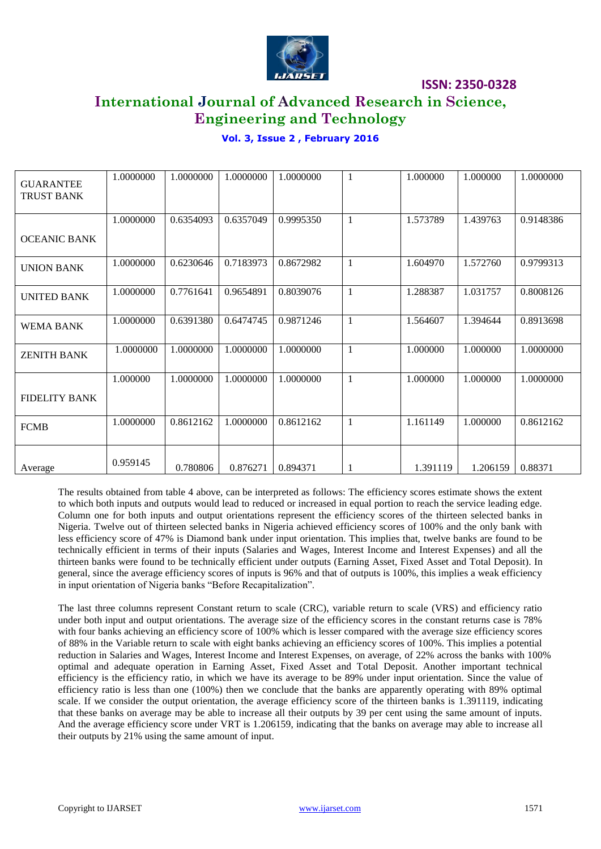

# **International Journal of Advanced Research in Science, Engineering and Technology**

# **Vol. 3, Issue 2 , February 2016**

| <b>GUARANTEE</b><br><b>TRUST BANK</b> | 1.0000000 | 1.0000000 | 1.0000000 | 1.0000000 | 1            | 1.000000 | 1.000000 | 1.0000000 |
|---------------------------------------|-----------|-----------|-----------|-----------|--------------|----------|----------|-----------|
|                                       | 1.0000000 | 0.6354093 | 0.6357049 | 0.9995350 | 1            | 1.573789 | 1.439763 | 0.9148386 |
| <b>OCEANIC BANK</b>                   |           |           |           |           |              |          |          |           |
| <b>UNION BANK</b>                     | 1.0000000 | 0.6230646 | 0.7183973 | 0.8672982 | $\mathbf{1}$ | 1.604970 | 1.572760 | 0.9799313 |
| <b>UNITED BANK</b>                    | 1.0000000 | 0.7761641 | 0.9654891 | 0.8039076 | 1            | 1.288387 | 1.031757 | 0.8008126 |
| WEMA BANK                             | 1.0000000 | 0.6391380 | 0.6474745 | 0.9871246 | $\mathbf{1}$ | 1.564607 | 1.394644 | 0.8913698 |
| <b>ZENITH BANK</b>                    | 1.0000000 | 1.0000000 | 1.0000000 | 1.0000000 | 1            | 1.000000 | 1.000000 | 1.0000000 |
|                                       | 1.000000  | 1.0000000 | 1.0000000 | 1.0000000 | $\mathbf{1}$ | 1.000000 | 1.000000 | 1.0000000 |
| <b>FIDELITY BANK</b>                  |           |           |           |           |              |          |          |           |
| <b>FCMB</b>                           | 1.0000000 | 0.8612162 | 1.0000000 | 0.8612162 | 1            | 1.161149 | 1.000000 | 0.8612162 |
| Average                               | 0.959145  | 0.780806  | 0.876271  | 0.894371  | 1            | 1.391119 | 1.206159 | 0.88371   |

The results obtained from table 4 above, can be interpreted as follows: The efficiency scores estimate shows the extent to which both inputs and outputs would lead to reduced or increased in equal portion to reach the service leading edge. Column one for both inputs and output orientations represent the efficiency scores of the thirteen selected banks in Nigeria. Twelve out of thirteen selected banks in Nigeria achieved efficiency scores of 100% and the only bank with less efficiency score of 47% is Diamond bank under input orientation. This implies that, twelve banks are found to be technically efficient in terms of their inputs (Salaries and Wages, Interest Income and Interest Expenses) and all the thirteen banks were found to be technically efficient under outputs (Earning Asset, Fixed Asset and Total Deposit). In general, since the average efficiency scores of inputs is 96% and that of outputs is 100%, this implies a weak efficiency in input orientation of Nigeria banks "Before Recapitalization".

The last three columns represent Constant return to scale (CRC), variable return to scale (VRS) and efficiency ratio under both input and output orientations. The average size of the efficiency scores in the constant returns case is 78% with four banks achieving an efficiency score of 100% which is lesser compared with the average size efficiency scores of 88% in the Variable return to scale with eight banks achieving an efficiency scores of 100%. This implies a potential reduction in Salaries and Wages, Interest Income and Interest Expenses, on average, of 22% across the banks with 100% optimal and adequate operation in Earning Asset, Fixed Asset and Total Deposit. Another important technical efficiency is the efficiency ratio, in which we have its average to be 89% under input orientation. Since the value of efficiency ratio is less than one (100%) then we conclude that the banks are apparently operating with 89% optimal scale. If we consider the output orientation, the average efficiency score of the thirteen banks is 1.391119, indicating that these banks on average may be able to increase all their outputs by 39 per cent using the same amount of inputs. And the average efficiency score under VRT is 1.206159, indicating that the banks on average may able to increase all their outputs by 21% using the same amount of input.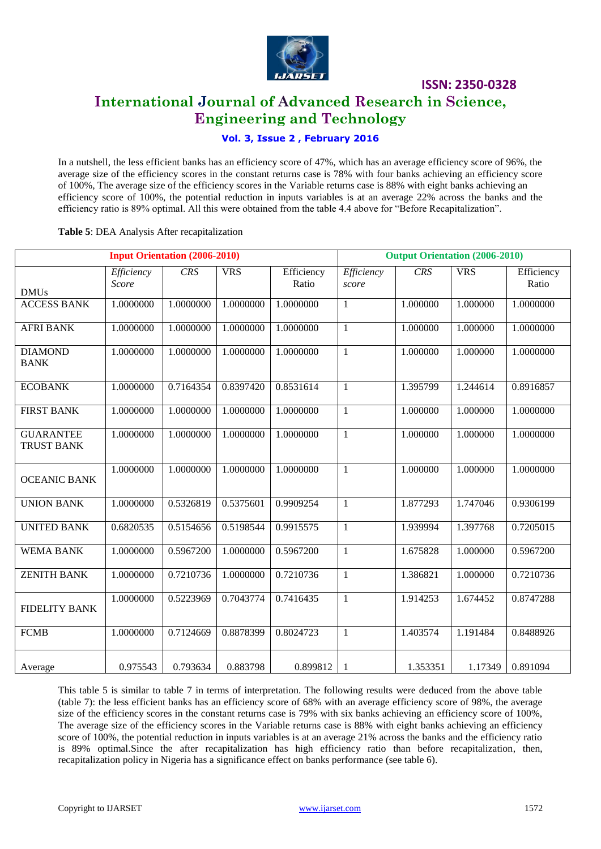

# **International Journal of Advanced Research in Science, Engineering and Technology**

# **Vol. 3, Issue 2 , February 2016**

In a nutshell, the less efficient banks has an efficiency score of 47%, which has an average efficiency score of 96%, the average size of the efficiency scores in the constant returns case is 78% with four banks achieving an efficiency score of 100%, The average size of the efficiency scores in the Variable returns case is 88% with eight banks achieving an efficiency score of 100%, the potential reduction in inputs variables is at an average 22% across the banks and the efficiency ratio is 89% optimal. All this were obtained from the table 4.4 above for "Before Recapitalization".

### **Table 5**: DEA Analysis After recapitalization

| <b>Input Orientation (2006-2010)</b>  |                     |            |            |                     | <b>Output Orientation (2006-2010)</b> |          |            |                     |
|---------------------------------------|---------------------|------------|------------|---------------------|---------------------------------------|----------|------------|---------------------|
| <b>DMUs</b>                           | Efficiency<br>Score | <b>CRS</b> | <b>VRS</b> | Efficiency<br>Ratio | Efficiency<br>score                   | CRS      | <b>VRS</b> | Efficiency<br>Ratio |
| <b>ACCESS BANK</b>                    | 1.0000000           | 1.0000000  | 1.0000000  | 1.0000000           | $\mathbf{1}$                          | 1.000000 | 1.000000   | 1.0000000           |
| <b>AFRI BANK</b>                      | 1.0000000           | 1.0000000  | 1.0000000  | 1.0000000           | $\mathbf{1}$                          | 1.000000 | 1.000000   | 1.0000000           |
| <b>DIAMOND</b><br><b>BANK</b>         | 1.0000000           | 1.0000000  | 1.0000000  | 1.0000000           | $\mathbf{1}$                          | 1.000000 | 1.000000   | 1.0000000           |
| <b>ECOBANK</b>                        | 1.0000000           | 0.7164354  | 0.8397420  | 0.8531614           | $\mathbf{1}$                          | 1.395799 | 1.244614   | 0.8916857           |
| <b>FIRST BANK</b>                     | 1.0000000           | 1.0000000  | 1.0000000  | 1.0000000           | $\mathbf{1}$                          | 1.000000 | 1.000000   | 1.0000000           |
| <b>GUARANTEE</b><br><b>TRUST BANK</b> | 1.0000000           | 1.0000000  | 1.0000000  | 1.0000000           | $\mathbf{1}$                          | 1.000000 | 1.000000   | 1.0000000           |
| <b>OCEANIC BANK</b>                   | 1.0000000           | 1.0000000  | 1.0000000  | 1.0000000           | $\mathbf{1}$                          | 1.000000 | 1.000000   | 1.0000000           |
| <b>UNION BANK</b>                     | 1.0000000           | 0.5326819  | 0.5375601  | 0.9909254           | $\mathbf{1}$                          | 1.877293 | 1.747046   | 0.9306199           |
| <b>UNITED BANK</b>                    | 0.6820535           | 0.5154656  | 0.5198544  | 0.9915575           | $\mathbf{1}$                          | 1.939994 | 1.397768   | 0.7205015           |
| <b>WEMA BANK</b>                      | 1.0000000           | 0.5967200  | 1.0000000  | 0.5967200           | $\mathbf{1}$                          | 1.675828 | 1.000000   | 0.5967200           |
| <b>ZENITH BANK</b>                    | 1.0000000           | 0.7210736  | 1.0000000  | 0.7210736           | $\mathbf 1$                           | 1.386821 | 1.000000   | 0.7210736           |
| <b>FIDELITY BANK</b>                  | 1.0000000           | 0.5223969  | 0.7043774  | 0.7416435           | $\mathbf{1}$                          | 1.914253 | 1.674452   | 0.8747288           |
| <b>FCMB</b>                           | 1.0000000           | 0.7124669  | 0.8878399  | 0.8024723           | $\mathbf{1}$                          | 1.403574 | 1.191484   | 0.8488926           |
| Average                               | 0.975543            | 0.793634   | 0.883798   | 0.899812            | 1                                     | 1.353351 | 1.17349    | 0.891094            |

This table 5 is similar to table 7 in terms of interpretation. The following results were deduced from the above table (table 7): the less efficient banks has an efficiency score of 68% with an average efficiency score of 98%, the average size of the efficiency scores in the constant returns case is 79% with six banks achieving an efficiency score of 100%, The average size of the efficiency scores in the Variable returns case is 88% with eight banks achieving an efficiency score of 100%, the potential reduction in inputs variables is at an average 21% across the banks and the efficiency ratio is 89% optimal.Since the after recapitalization has high efficiency ratio than before recapitalization, then, recapitalization policy in Nigeria has a significance effect on banks performance (see table 6).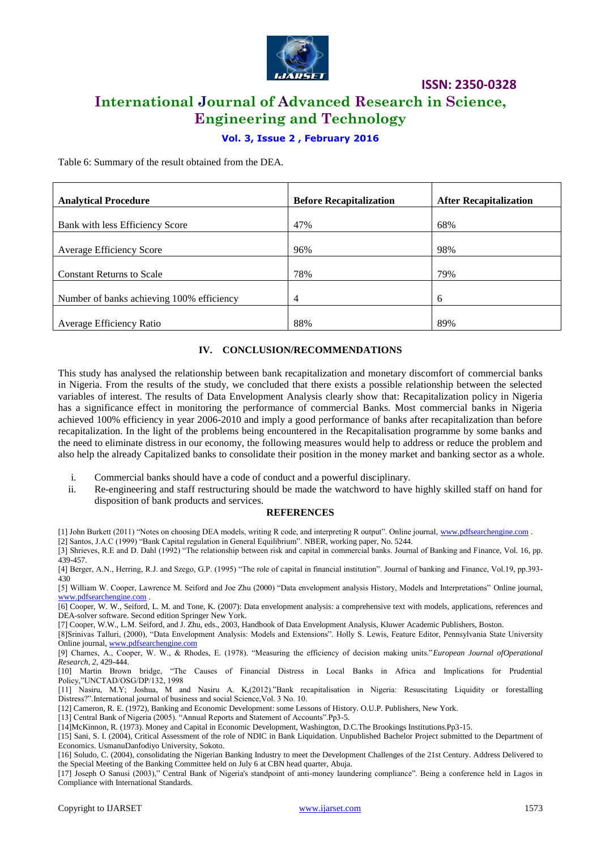

# **International Journal of Advanced Research in Science, Engineering and Technology**

**ISSN: 2350-0328**

# **Vol. 3, Issue 2 , February 2016**

Table 6: Summary of the result obtained from the DEA.

| <b>Analytical Procedure</b>               | <b>Before Recapitalization</b> | <b>After Recapitalization</b> |
|-------------------------------------------|--------------------------------|-------------------------------|
| Bank with less Efficiency Score           | 47%                            | 68%                           |
| <b>Average Efficiency Score</b>           | 96%                            | 98%                           |
| <b>Constant Returns to Scale</b>          | 78%                            | 79%                           |
| Number of banks achieving 100% efficiency | 4                              | 6                             |
|                                           |                                |                               |
| Average Efficiency Ratio                  | 88%                            | 89%                           |

### **IV. CONCLUSION/RECOMMENDATIONS**

This study has analysed the relationship between bank recapitalization and monetary discomfort of commercial banks in Nigeria. From the results of the study, we concluded that there exists a possible relationship between the selected variables of interest. The results of Data Envelopment Analysis clearly show that: Recapitalization policy in Nigeria has a significance effect in monitoring the performance of commercial Banks. Most commercial banks in Nigeria achieved 100% efficiency in year 2006-2010 and imply a good performance of banks after recapitalization than before recapitalization. In the light of the problems being encountered in the Recapitalisation programme by some banks and the need to eliminate distress in our economy, the following measures would help to address or reduce the problem and also help the already Capitalized banks to consolidate their position in the money market and banking sector as a whole.

- i. Commercial banks should have a code of conduct and a powerful disciplinary.
- ii. Re-engineering and staff restructuring should be made the watchword to have highly skilled staff on hand for disposition of bank products and services.

#### **REFERENCES**

[1] John Burkett (2011) "Notes on choosing DEA models, writing R code, and interpreting R output". Online journal, [www.pdfsearchengine.com](http://www.pdfsearchengine.com/) .

[2] Santos, J.A.C (1999) "Bank Capital regulation in General Equilibrium". NBER, working paper, No. 5244.

[3] Shrieves, R.E and D. Dahl (1992) "The relationship between risk and capital in commercial banks. Journal of Banking and Finance, Vol. 16, pp. 439-457.

[7] Cooper, W.W., L.M. Seiford, and J. Zhu, eds., 2003, Handbook of Data Envelopment Analysis, Kluwer Academic Publishers, Boston.

[8]Srinivas Talluri, (2000), "Data Envelopment Analysis: Models and Extensions". Holly S. Lewis, Feature Editor, Pennsylvania State University Online journal[, www.pdfsearchengine.com](http://www.pdfsearchengine.com/)

[9] Charnes, A., Cooper, W. W., & Rhodes, E. (1978). "Measuring the efficiency of decision making units."*European Journal ofOperational Research, 2*, 429-444.

[10] Martin Brown bridge, "The Causes of Financial Distress in Local Banks in Africa and Implications for Prudential Policy,"UNCTAD/OSG/DP/132, 1998

[11] Nasiru, M.Y; Joshua, M and Nasiru A. K,(2012)."Bank recapitalisation in Nigeria: Resuscitating Liquidity or forestalling Distress?".International journal of business and social Science, Vol. 3 No. 10.

[12] Cameron, R. E. (1972), Banking and Economic Development: some Lessons of History. O.U.P. Publishers, New York.

[13] Central Bank of Nigeria (2005). "Annual Reports and Statement of Accounts".Pp3-5.

[14]McKinnon, R. (1973). Money and Capital in Economic Development, Washington, D.C.The Brookings Institutions.Pp3-15.

[15] Sani, S. I. (2004), Critical Assessment of the role of NDIC in Bank Liquidation. Unpublished Bachelor Project submitted to the Department of Economics. UsmanuDanfodiyo University, Sokoto.

[16] Soludo, C. (2004), consolidating the Nigerian Banking Industry to meet the Development Challenges of the 21st Century. Address Delivered to the Special Meeting of the Banking Committee held on July 6 at CBN head quarter, Abuja.

[17] Joseph O Sanusi (2003)," Central Bank of Nigeria's standpoint of anti-money laundering compliance". Being a conference held in Lagos in Compliance with International Standards.

<sup>[4]</sup> Berger, A.N., Herring, R.J. and Szego, G.P. (1995) "The role of capital in financial institution". Journal of banking and Finance, Vol.19, pp.393- 430

<sup>[5]</sup> William W. Cooper, Lawrence M. Seiford and Joe Zhu (2000) "Data envelopment analysis History, Models and Interpretations" Online journal, [www.pdfsearchengine.com](http://www.pdfsearchengine.com/)

<sup>[6]</sup> Cooper, W. W., Seiford, L. M. and Tone, K. (2007): Data envelopment analysis: a comprehensive text with models, applications, references and DEA-solver software. Second edition Springer New York.